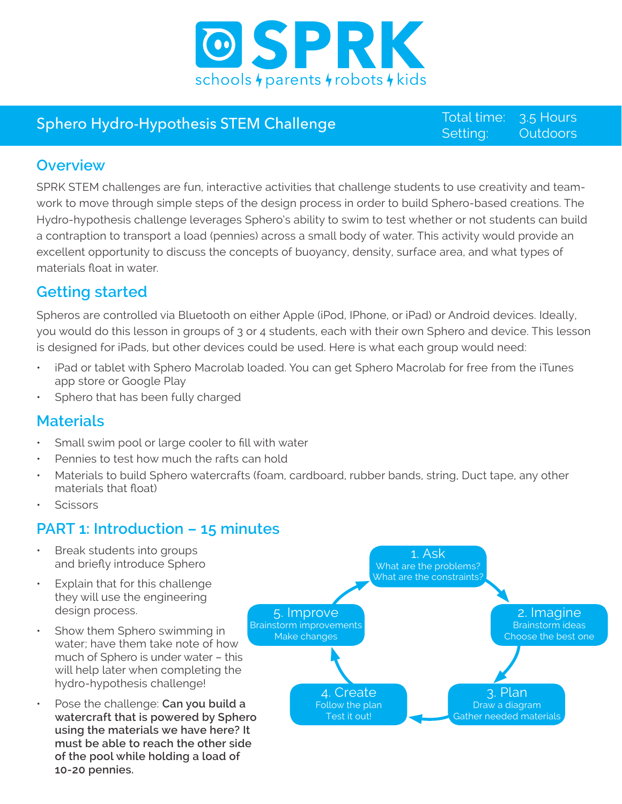

# Sphero Hydro-Hypothesis STEM Challenge Total time:

Setting: 3.5 Hours **Outdoors** 

## **Overview**

SPRK STEM challenges are fun, interactive activities that challenge students to use creativity and teamwork to move through simple steps of the design process in order to build Sphero-based creations. The Hydro-hypothesis challenge leverages Sphero's ability to swim to test whether or not students can build a contraption to transport a load (pennies) across a small body of water. This activity would provide an excellent opportunity to discuss the concepts of buoyancy, density, surface area, and what types of materials float in water.

# **Getting started**

Spheros are controlled via Bluetooth on either Apple (iPod, IPhone, or iPad) or Android devices. Ideally, you would do this lesson in groups of 3 or 4 students, each with their own Sphero and device. This lesson is designed for iPads, but other devices could be used. Here is what each group would need:

- iPad or tablet with Sphero Macrolab loaded. You can get Sphero Macrolab for free from the iTunes app store or Google Play
- Sphero that has been fully charged

## **Materials**

- Small swim pool or large cooler to fill with water
- Pennies to test how much the rafts can hold
- Materials to build Sphero watercrafts (foam, cardboard, rubber bands, string, Duct tape, any other materials that float)
- **Scissors**

# **PART 1: Introduction – 15 minutes**

- Break students into groups and briefly introduce Sphero
- Explain that for this challenge they will use the engineering design process.
- Show them Sphero swimming in water; have them take note of how much of Sphero is under water – this will help later when completing the hydro-hypothesis challenge!
- Pose the challenge: **Can you build a watercraft that is powered by Sphero using the materials we have here? It must be able to reach the other side of the pool while holding a load of 10-20 pennies.**

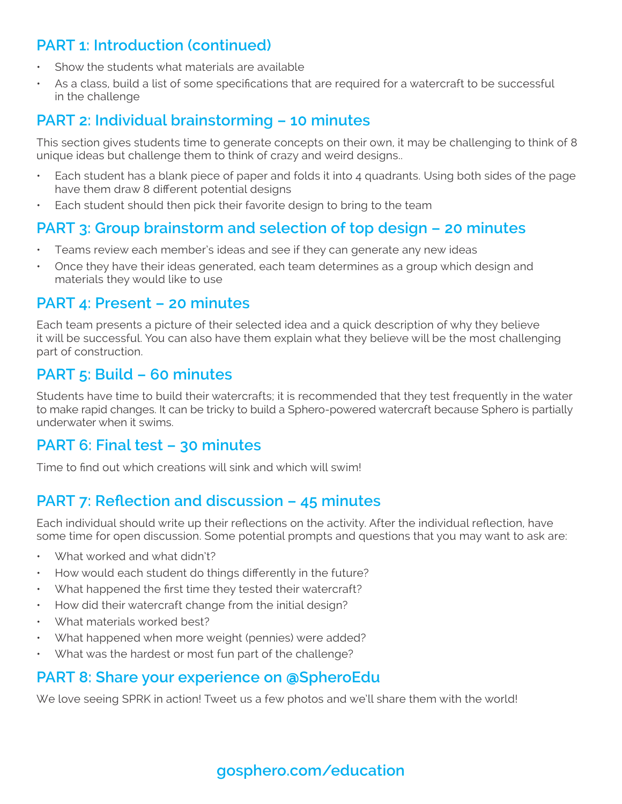# **PART 1: Introduction (continued)**

- Show the students what materials are available
- As a class, build a list of some specifications that are required for a watercraft to be successful in the challenge

## **PART 2: Individual brainstorming – 10 minutes**

This section gives students time to generate concepts on their own, it may be challenging to think of 8 unique ideas but challenge them to think of crazy and weird designs..

- Each student has a blank piece of paper and folds it into 4 quadrants. Using both sides of the page have them draw 8 different potential designs
- Each student should then pick their favorite design to bring to the team

## **PART 3: Group brainstorm and selection of top design – 20 minutes**

- Teams review each member's ideas and see if they can generate any new ideas
- Once they have their ideas generated, each team determines as a group which design and materials they would like to use

#### **PART 4: Present – 20 minutes**

Each team presents a picture of their selected idea and a quick description of why they believe it will be successful. You can also have them explain what they believe will be the most challenging part of construction.

## **PART 5: Build – 60 minutes**

Students have time to build their watercrafts; it is recommended that they test frequently in the water to make rapid changes. It can be tricky to build a Sphero-powered watercraft because Sphero is partially underwater when it swims.

## **PART 6: Final test – 30 minutes**

Time to find out which creations will sink and which will swim!

### **PART 7: Reflection and discussion – 45 minutes**

Each individual should write up their reflections on the activity. After the individual reflection, have some time for open discussion. Some potential prompts and questions that you may want to ask are:

- What worked and what didn't?
- How would each student do things differently in the future?
- What happened the first time they tested their watercraft?
- How did their watercraft change from the initial design?
- What materials worked best?
- What happened when more weight (pennies) were added?
- What was the hardest or most fun part of the challenge?

#### **PART 8: Share your experience on** @**SpheroEdu**

We love seeing SPRK in action! Tweet us a few photos and we'll share them with the world!

# **gosphero.com/education**